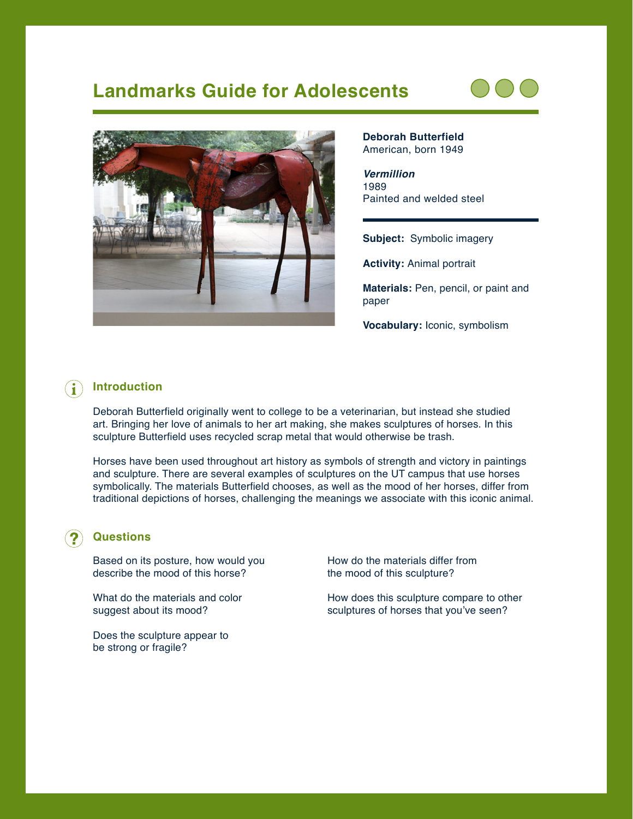# **Landmarks Guide for Adolescents**





**Deborah Butterfield** American, born 1949

*Vermillion* 1989 Painted and welded steel

**Subject:** Symbolic imagery

**Activity:** Animal portrait

**Materials:** Pen, pencil, or paint and paper

**Vocabulary:** Iconic, symbolism

### **Introduction**

Deborah Butterfield originally went to college to be a veterinarian, but instead she studied art. Bringing her love of animals to her art making, she makes sculptures of horses. In this sculpture Butterfield uses recycled scrap metal that would otherwise be trash.

Horses have been used throughout art history as symbols of strength and victory in paintings and sculpture. There are several examples of sculptures on the UT campus that use horses symbolically. The materials Butterfield chooses, as well as the mood of her horses, differ from traditional depictions of horses, challenging the meanings we associate with this iconic animal.

#### **Questions**

Based on its posture, how would you describe the mood of this horse?

What do the materials and color suggest about its mood?

Does the sculpture appear to be strong or fragile?

How do the materials differ from the mood of this sculpture?

How does this sculpture compare to other sculptures of horses that you've seen?